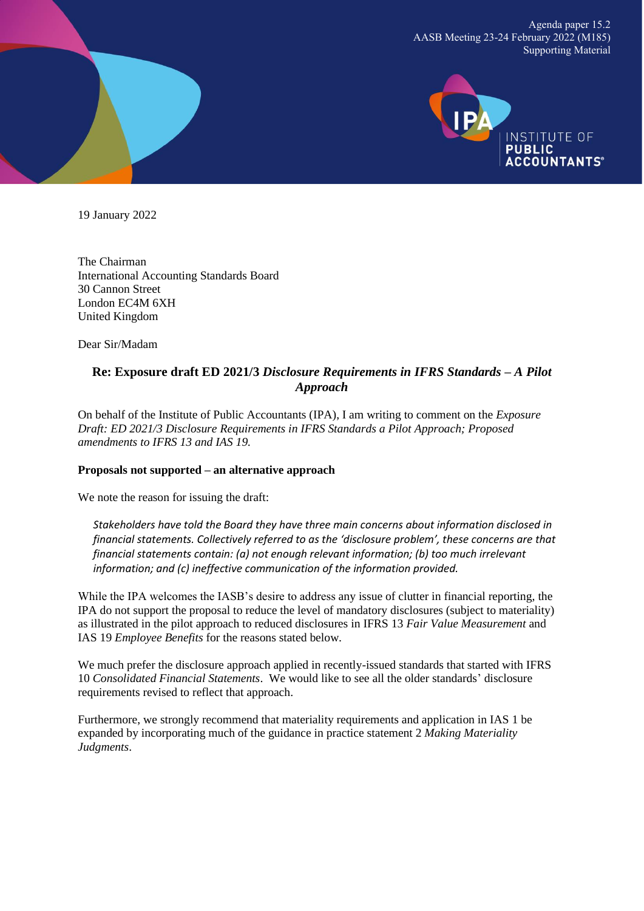Agenda paper 15.2 AASB Meeting 23-24 February 2022 (M185) Supporting Material



19 January 2022

The Chairman International Accounting Standards Board 30 Cannon Street London EC4M 6XH United Kingdom

Dear Sir/Madam

### **Re: Exposure draft ED 2021/3** *Disclosure Requirements in IFRS Standards – A Pilot Approach*

On behalf of the Institute of Public Accountants (IPA), I am writing to comment on the *Exposure Draft: ED 2021/3 Disclosure Requirements in IFRS Standards a Pilot Approach; Proposed amendments to IFRS 13 and IAS 19.*

#### **Proposals not supported – an alternative approach**

We note the reason for issuing the draft:

*Stakeholders have told the Board they have three main concerns about information disclosed in financial statements. Collectively referred to as the 'disclosure problem', these concerns are that financial statements contain: (a) not enough relevant information; (b) too much irrelevant information; and (c) ineffective communication of the information provided.*

While the IPA welcomes the IASB's desire to address any issue of clutter in financial reporting, the IPA do not support the proposal to reduce the level of mandatory disclosures (subject to materiality) as illustrated in the pilot approach to reduced disclosures in IFRS 13 *Fair Value Measurement* and IAS 19 *Employee Benefits* for the reasons stated below*.*

We much prefer the disclosure approach applied in recently-issued standards that started with IFRS 10 *Consolidated Financial Statements*. We would like to see all the older standards' disclosure requirements revised to reflect that approach.

Furthermore, we strongly recommend that materiality requirements and application in IAS 1 be expanded by incorporating much of the guidance in practice statement 2 *Making Materiality Judgments*.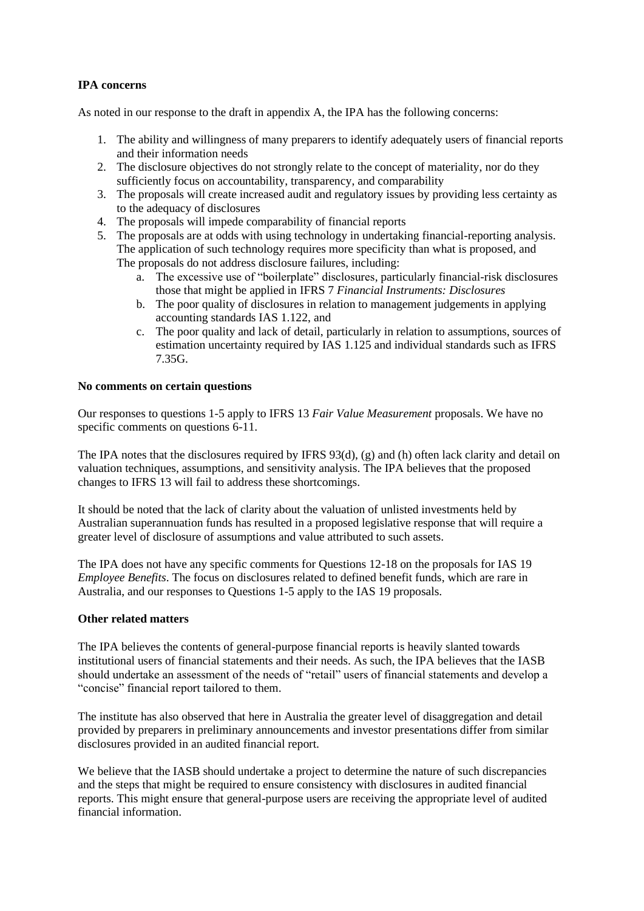### **IPA concerns**

As noted in our response to the draft in appendix A, the IPA has the following concerns:

- 1. The ability and willingness of many preparers to identify adequately users of financial reports and their information needs
- 2. The disclosure objectives do not strongly relate to the concept of materiality, nor do they sufficiently focus on accountability, transparency, and comparability
- 3. The proposals will create increased audit and regulatory issues by providing less certainty as to the adequacy of disclosures
- 4. The proposals will impede comparability of financial reports
- 5. The proposals are at odds with using technology in undertaking financial-reporting analysis. The application of such technology requires more specificity than what is proposed, and The proposals do not address disclosure failures, including:
	- a. The excessive use of "boilerplate" disclosures, particularly financial-risk disclosures those that might be applied in IFRS 7 *Financial Instruments: Disclosures*
	- b. The poor quality of disclosures in relation to management judgements in applying accounting standards IAS 1.122, and
	- c. The poor quality and lack of detail, particularly in relation to assumptions, sources of estimation uncertainty required by IAS 1.125 and individual standards such as IFRS 7.35G.

#### **No comments on certain questions**

Our responses to questions 1-5 apply to IFRS 13 *Fair Value Measurement* proposals. We have no specific comments on questions 6-11.

The IPA notes that the disclosures required by IFRS 93(d), (g) and (h) often lack clarity and detail on valuation techniques, assumptions, and sensitivity analysis. The IPA believes that the proposed changes to IFRS 13 will fail to address these shortcomings.

It should be noted that the lack of clarity about the valuation of unlisted investments held by Australian superannuation funds has resulted in a proposed legislative response that will require a greater level of disclosure of assumptions and value attributed to such assets.

The IPA does not have any specific comments for Questions 12-18 on the proposals for IAS 19 *Employee Benefits*. The focus on disclosures related to defined benefit funds, which are rare in Australia, and our responses to Questions 1-5 apply to the IAS 19 proposals.

#### **Other related matters**

The IPA believes the contents of general-purpose financial reports is heavily slanted towards institutional users of financial statements and their needs. As such, the IPA believes that the IASB should undertake an assessment of the needs of "retail" users of financial statements and develop a "concise" financial report tailored to them.

The institute has also observed that here in Australia the greater level of disaggregation and detail provided by preparers in preliminary announcements and investor presentations differ from similar disclosures provided in an audited financial report.

We believe that the IASB should undertake a project to determine the nature of such discrepancies and the steps that might be required to ensure consistency with disclosures in audited financial reports. This might ensure that general-purpose users are receiving the appropriate level of audited financial information.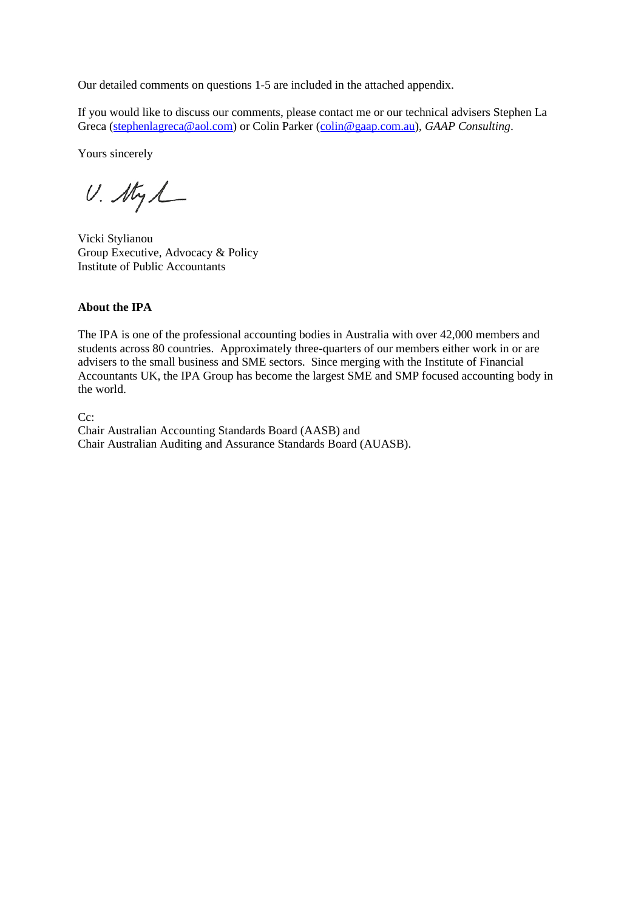Our detailed comments on questions 1-5 are included in the attached appendix.

If you would like to discuss our comments, please contact me or our technical advisers Stephen La Greca [\(stephenlagreca@aol.com\)](mailto:stephenlagreca@aol.com) or Colin Parker [\(colin@gaap.com.au\)](mailto:colin@gaap.com.au), *GAAP Consulting*.

Yours sincerely

 $U.$  thy  $L$ 

Vicki Stylianou Group Executive, Advocacy & Policy Institute of Public Accountants

#### **About the IPA**

The IPA is one of the professional accounting bodies in Australia with over 42,000 members and students across 80 countries. Approximately three-quarters of our members either work in or are advisers to the small business and SME sectors. Since merging with the Institute of Financial Accountants UK, the IPA Group has become the largest SME and SMP focused accounting body in the world.

C<sub>c</sub>:

Chair Australian Accounting Standards Board (AASB) and Chair Australian Auditing and Assurance Standards Board (AUASB).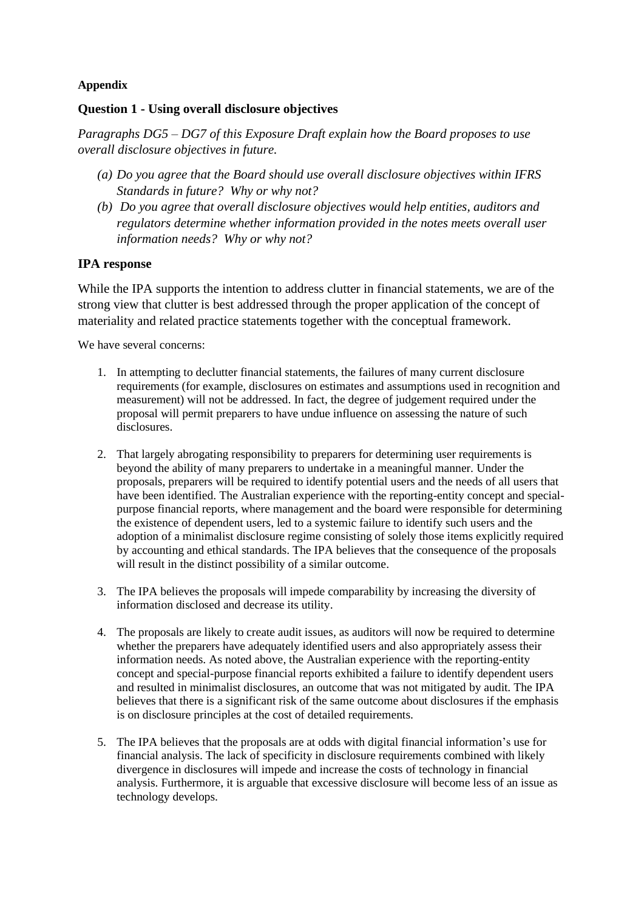### **Appendix**

### **Question 1 - Using overall disclosure objectives**

*Paragraphs DG5 – DG7 of this Exposure Draft explain how the Board proposes to use overall disclosure objectives in future.*

- *(a) Do you agree that the Board should use overall disclosure objectives within IFRS Standards in future? Why or why not?*
- *(b) Do you agree that overall disclosure objectives would help entities, auditors and regulators determine whether information provided in the notes meets overall user information needs? Why or why not?*

### **IPA response**

While the IPA supports the intention to address clutter in financial statements, we are of the strong view that clutter is best addressed through the proper application of the concept of materiality and related practice statements together with the conceptual framework.

We have several concerns:

- 1. In attempting to declutter financial statements, the failures of many current disclosure requirements (for example, disclosures on estimates and assumptions used in recognition and measurement) will not be addressed. In fact, the degree of judgement required under the proposal will permit preparers to have undue influence on assessing the nature of such disclosures.
- 2. That largely abrogating responsibility to preparers for determining user requirements is beyond the ability of many preparers to undertake in a meaningful manner. Under the proposals, preparers will be required to identify potential users and the needs of all users that have been identified. The Australian experience with the reporting-entity concept and specialpurpose financial reports, where management and the board were responsible for determining the existence of dependent users, led to a systemic failure to identify such users and the adoption of a minimalist disclosure regime consisting of solely those items explicitly required by accounting and ethical standards. The IPA believes that the consequence of the proposals will result in the distinct possibility of a similar outcome.
- 3. The IPA believes the proposals will impede comparability by increasing the diversity of information disclosed and decrease its utility.
- 4. The proposals are likely to create audit issues, as auditors will now be required to determine whether the preparers have adequately identified users and also appropriately assess their information needs. As noted above, the Australian experience with the reporting-entity concept and special-purpose financial reports exhibited a failure to identify dependent users and resulted in minimalist disclosures, an outcome that was not mitigated by audit. The IPA believes that there is a significant risk of the same outcome about disclosures if the emphasis is on disclosure principles at the cost of detailed requirements.
- 5. The IPA believes that the proposals are at odds with digital financial information's use for financial analysis. The lack of specificity in disclosure requirements combined with likely divergence in disclosures will impede and increase the costs of technology in financial analysis. Furthermore, it is arguable that excessive disclosure will become less of an issue as technology develops.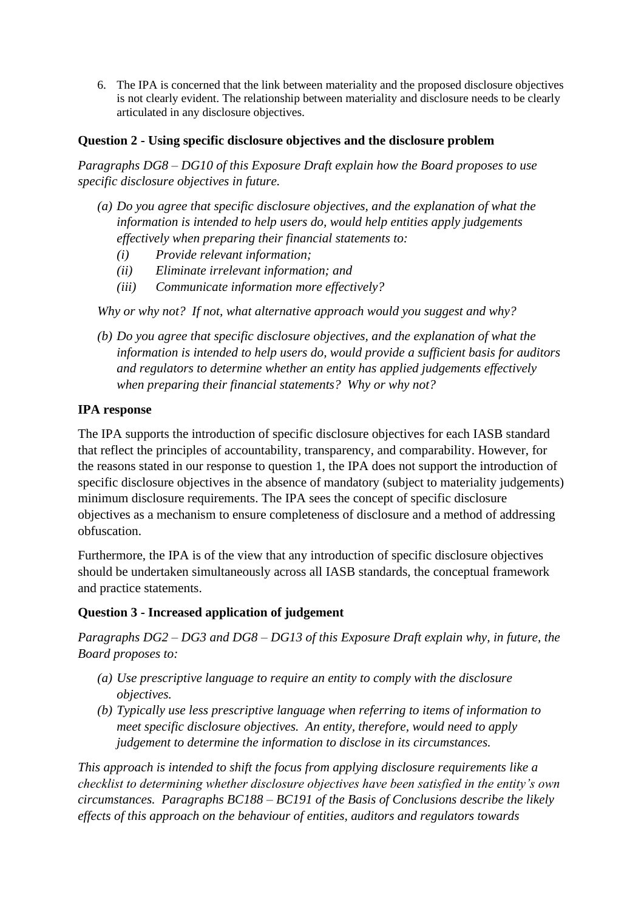6. The IPA is concerned that the link between materiality and the proposed disclosure objectives is not clearly evident. The relationship between materiality and disclosure needs to be clearly articulated in any disclosure objectives.

## **Question 2 - Using specific disclosure objectives and the disclosure problem**

*Paragraphs DG8 – DG10 of this Exposure Draft explain how the Board proposes to use specific disclosure objectives in future.*

- *(a) Do you agree that specific disclosure objectives, and the explanation of what the information is intended to help users do, would help entities apply judgements effectively when preparing their financial statements to:*
	- *(i) Provide relevant information;*
	- *(ii) Eliminate irrelevant information; and*
	- *(iii) Communicate information more effectively?*

*Why or why not? If not, what alternative approach would you suggest and why?*

*(b) Do you agree that specific disclosure objectives, and the explanation of what the information is intended to help users do, would provide a sufficient basis for auditors and regulators to determine whether an entity has applied judgements effectively when preparing their financial statements? Why or why not?*

### **IPA response**

The IPA supports the introduction of specific disclosure objectives for each IASB standard that reflect the principles of accountability, transparency, and comparability. However, for the reasons stated in our response to question 1, the IPA does not support the introduction of specific disclosure objectives in the absence of mandatory (subject to materiality judgements) minimum disclosure requirements. The IPA sees the concept of specific disclosure objectives as a mechanism to ensure completeness of disclosure and a method of addressing obfuscation.

Furthermore, the IPA is of the view that any introduction of specific disclosure objectives should be undertaken simultaneously across all IASB standards, the conceptual framework and practice statements.

## **Question 3 - Increased application of judgement**

*Paragraphs DG2 – DG3 and DG8 – DG13 of this Exposure Draft explain why, in future, the Board proposes to:*

- *(a) Use prescriptive language to require an entity to comply with the disclosure objectives.*
- *(b) Typically use less prescriptive language when referring to items of information to meet specific disclosure objectives. An entity, therefore, would need to apply judgement to determine the information to disclose in its circumstances.*

*This approach is intended to shift the focus from applying disclosure requirements like a checklist to determining whether disclosure objectives have been satisfied in the entity's own circumstances. Paragraphs BC188 – BC191 of the Basis of Conclusions describe the likely effects of this approach on the behaviour of entities, auditors and regulators towards*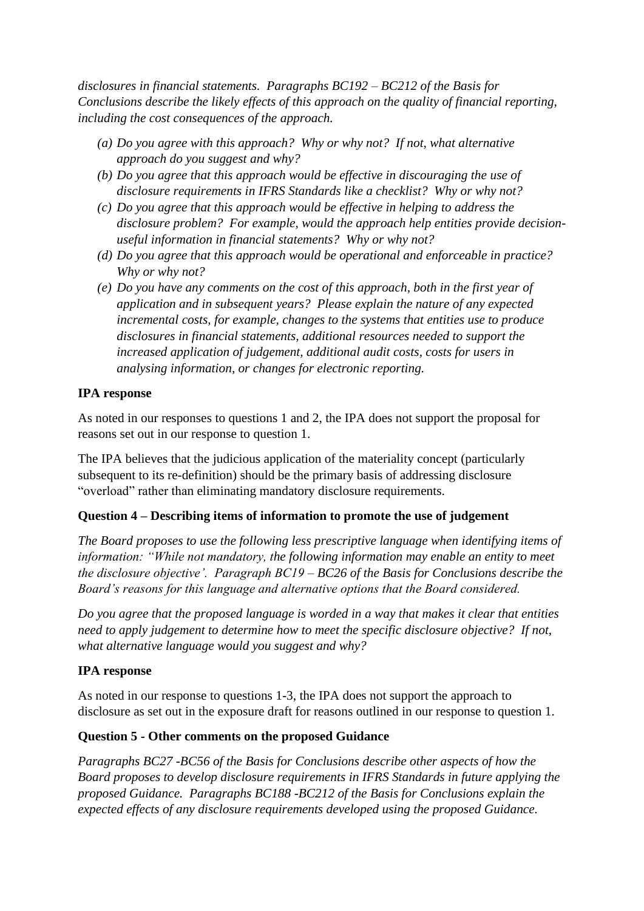*disclosures in financial statements. Paragraphs BC192 – BC212 of the Basis for Conclusions describe the likely effects of this approach on the quality of financial reporting, including the cost consequences of the approach.*

- *(a) Do you agree with this approach? Why or why not? If not, what alternative approach do you suggest and why?*
- *(b) Do you agree that this approach would be effective in discouraging the use of disclosure requirements in IFRS Standards like a checklist? Why or why not?*
- *(c) Do you agree that this approach would be effective in helping to address the disclosure problem? For example, would the approach help entities provide decisionuseful information in financial statements? Why or why not?*
- *(d) Do you agree that this approach would be operational and enforceable in practice? Why or why not?*
- *(e) Do you have any comments on the cost of this approach, both in the first year of application and in subsequent years? Please explain the nature of any expected incremental costs, for example, changes to the systems that entities use to produce disclosures in financial statements, additional resources needed to support the increased application of judgement, additional audit costs, costs for users in analysing information, or changes for electronic reporting.*

## **IPA response**

As noted in our responses to questions 1 and 2, the IPA does not support the proposal for reasons set out in our response to question 1.

The IPA believes that the judicious application of the materiality concept (particularly subsequent to its re-definition) should be the primary basis of addressing disclosure "overload" rather than eliminating mandatory disclosure requirements.

## **Question 4 – Describing items of information to promote the use of judgement**

*The Board proposes to use the following less prescriptive language when identifying items of information: "While not mandatory, the following information may enable an entity to meet the disclosure objective'. Paragraph BC19 – BC26 of the Basis for Conclusions describe the Board's reasons for this language and alternative options that the Board considered.*

*Do you agree that the proposed language is worded in a way that makes it clear that entities need to apply judgement to determine how to meet the specific disclosure objective? If not, what alternative language would you suggest and why?*

## **IPA response**

As noted in our response to questions 1-3, the IPA does not support the approach to disclosure as set out in the exposure draft for reasons outlined in our response to question 1.

## **Question 5 - Other comments on the proposed Guidance**

*Paragraphs BC27 -BC56 of the Basis for Conclusions describe other aspects of how the Board proposes to develop disclosure requirements in IFRS Standards in future applying the proposed Guidance. Paragraphs BC188 -BC212 of the Basis for Conclusions explain the expected effects of any disclosure requirements developed using the proposed Guidance.*